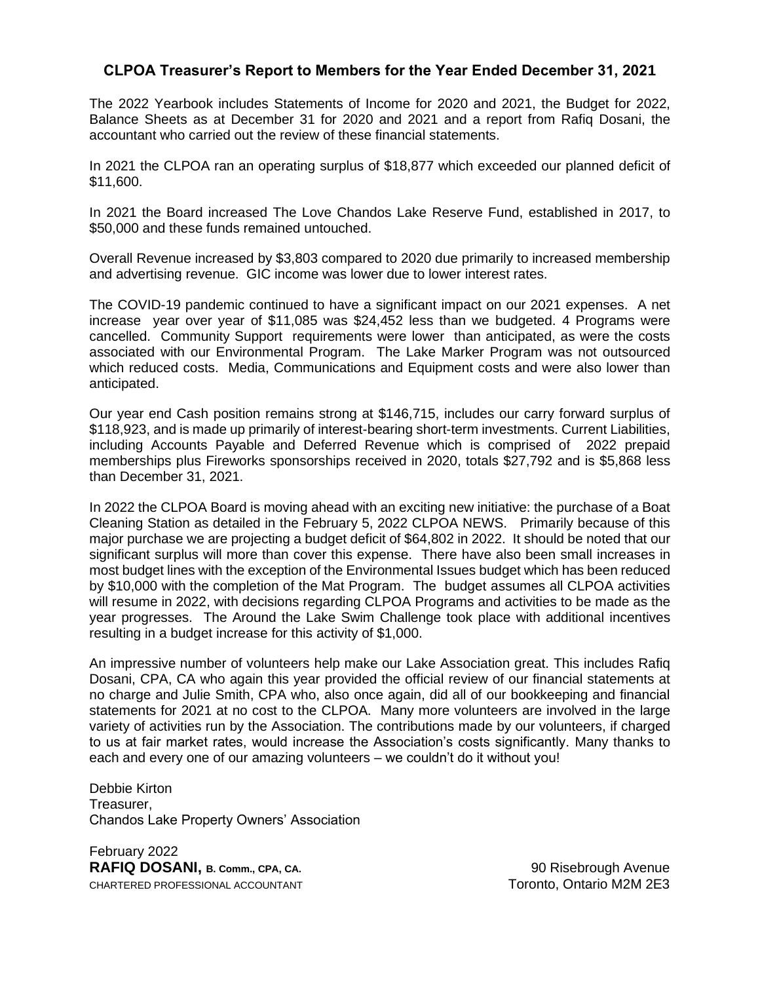## **CLPOA Treasurer's Report to Members for the Year Ended December 31, 2021**

The 2022 Yearbook includes Statements of Income for 2020 and 2021, the Budget for 2022, Balance Sheets as at December 31 for 2020 and 2021 and a report from Rafiq Dosani, the accountant who carried out the review of these financial statements.

In 2021 the CLPOA ran an operating surplus of \$18,877 which exceeded our planned deficit of \$11,600.

In 2021 the Board increased The Love Chandos Lake Reserve Fund, established in 2017, to \$50,000 and these funds remained untouched.

Overall Revenue increased by \$3,803 compared to 2020 due primarily to increased membership and advertising revenue. GIC income was lower due to lower interest rates.

The COVID-19 pandemic continued to have a significant impact on our 2021 expenses. A net increase year over year of \$11,085 was \$24,452 less than we budgeted. 4 Programs were cancelled. Community Support requirements were lower than anticipated, as were the costs associated with our Environmental Program. The Lake Marker Program was not outsourced which reduced costs. Media, Communications and Equipment costs and were also lower than anticipated.

Our year end Cash position remains strong at \$146,715, includes our carry forward surplus of \$118,923, and is made up primarily of interest-bearing short-term investments. Current Liabilities, including Accounts Payable and Deferred Revenue which is comprised of 2022 prepaid memberships plus Fireworks sponsorships received in 2020, totals \$27,792 and is \$5,868 less than December 31, 2021.

In 2022 the CLPOA Board is moving ahead with an exciting new initiative: the purchase of a Boat Cleaning Station as detailed in the February 5, 2022 CLPOA NEWS. Primarily because of this major purchase we are projecting a budget deficit of \$64,802 in 2022. It should be noted that our significant surplus will more than cover this expense. There have also been small increases in most budget lines with the exception of the Environmental Issues budget which has been reduced by \$10,000 with the completion of the Mat Program. The budget assumes all CLPOA activities will resume in 2022, with decisions regarding CLPOA Programs and activities to be made as the year progresses. The Around the Lake Swim Challenge took place with additional incentives resulting in a budget increase for this activity of \$1,000.

An impressive number of volunteers help make our Lake Association great. This includes Rafiq Dosani, CPA, CA who again this year provided the official review of our financial statements at no charge and Julie Smith, CPA who, also once again, did all of our bookkeeping and financial statements for 2021 at no cost to the CLPOA. Many more volunteers are involved in the large variety of activities run by the Association. The contributions made by our volunteers, if charged to us at fair market rates, would increase the Association's costs significantly. Many thanks to each and every one of our amazing volunteers – we couldn't do it without you!

Debbie Kirton Treasurer, Chandos Lake Property Owners' Association

February 2022 **RAFIQ DOSANI, B. Comm., CPA, CA.** 200 **Reading the COSANI, B. Comm., CPA, CA.** 90 Risebrough Avenue CHARTERED PROFESSIONAL ACCOUNTANT TO THE SERIES TO THE TORONTO, Ontario M2M 2E3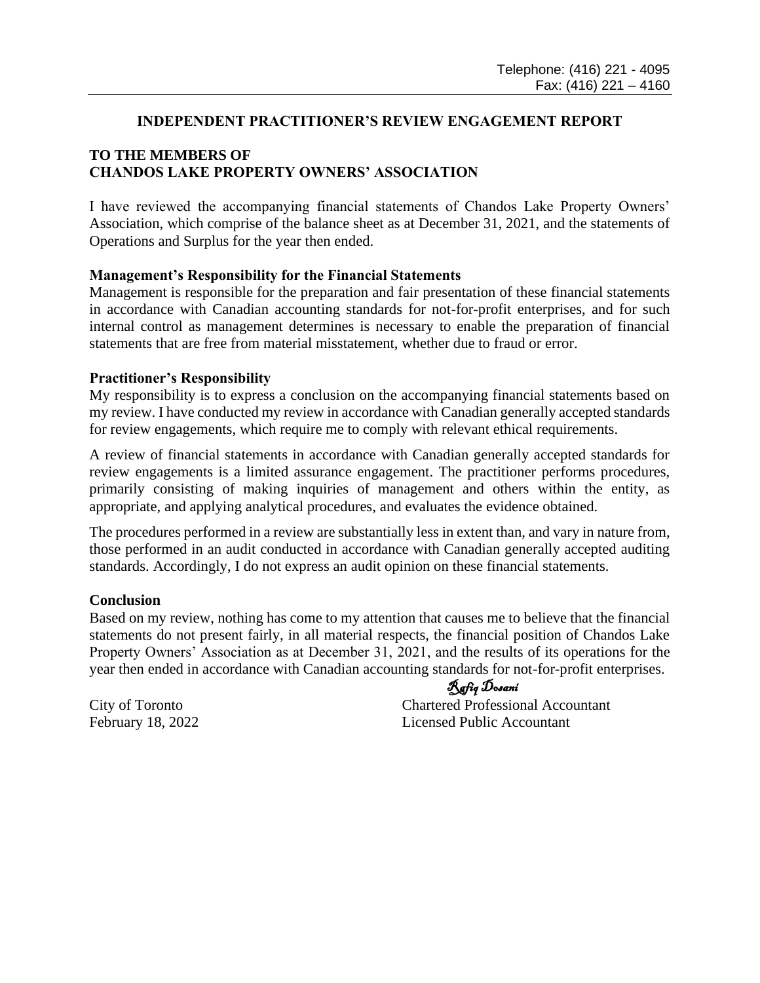### **INDEPENDENT PRACTITIONER'S REVIEW ENGAGEMENT REPORT**

### **TO THE MEMBERS OF CHANDOS LAKE PROPERTY OWNERS' ASSOCIATION**

I have reviewed the accompanying financial statements of Chandos Lake Property Owners' Association, which comprise of the balance sheet as at December 31, 2021, and the statements of Operations and Surplus for the year then ended.

#### **Management's Responsibility for the Financial Statements**

Management is responsible for the preparation and fair presentation of these financial statements in accordance with Canadian accounting standards for not-for-profit enterprises, and for such internal control as management determines is necessary to enable the preparation of financial statements that are free from material misstatement, whether due to fraud or error.

#### **Practitioner's Responsibility**

My responsibility is to express a conclusion on the accompanying financial statements based on my review. I have conducted my review in accordance with Canadian generally accepted standards for review engagements, which require me to comply with relevant ethical requirements.

A review of financial statements in accordance with Canadian generally accepted standards for review engagements is a limited assurance engagement. The practitioner performs procedures, primarily consisting of making inquiries of management and others within the entity, as appropriate, and applying analytical procedures, and evaluates the evidence obtained.

The procedures performed in a review are substantially less in extent than, and vary in nature from, those performed in an audit conducted in accordance with Canadian generally accepted auditing standards. Accordingly, I do not express an audit opinion on these financial statements.

#### **Conclusion**

Based on my review, nothing has come to my attention that causes me to believe that the financial statements do not present fairly, in all material respects, the financial position of Chandos Lake Property Owners' Association as at December 31, 2021, and the results of its operations for the year then ended in accordance with Canadian accounting standards for not-for-profit enterprises.

Rafiq Dosani

City of Toronto Chartered Professional Accountant February 18, 2022 Licensed Public Accountant